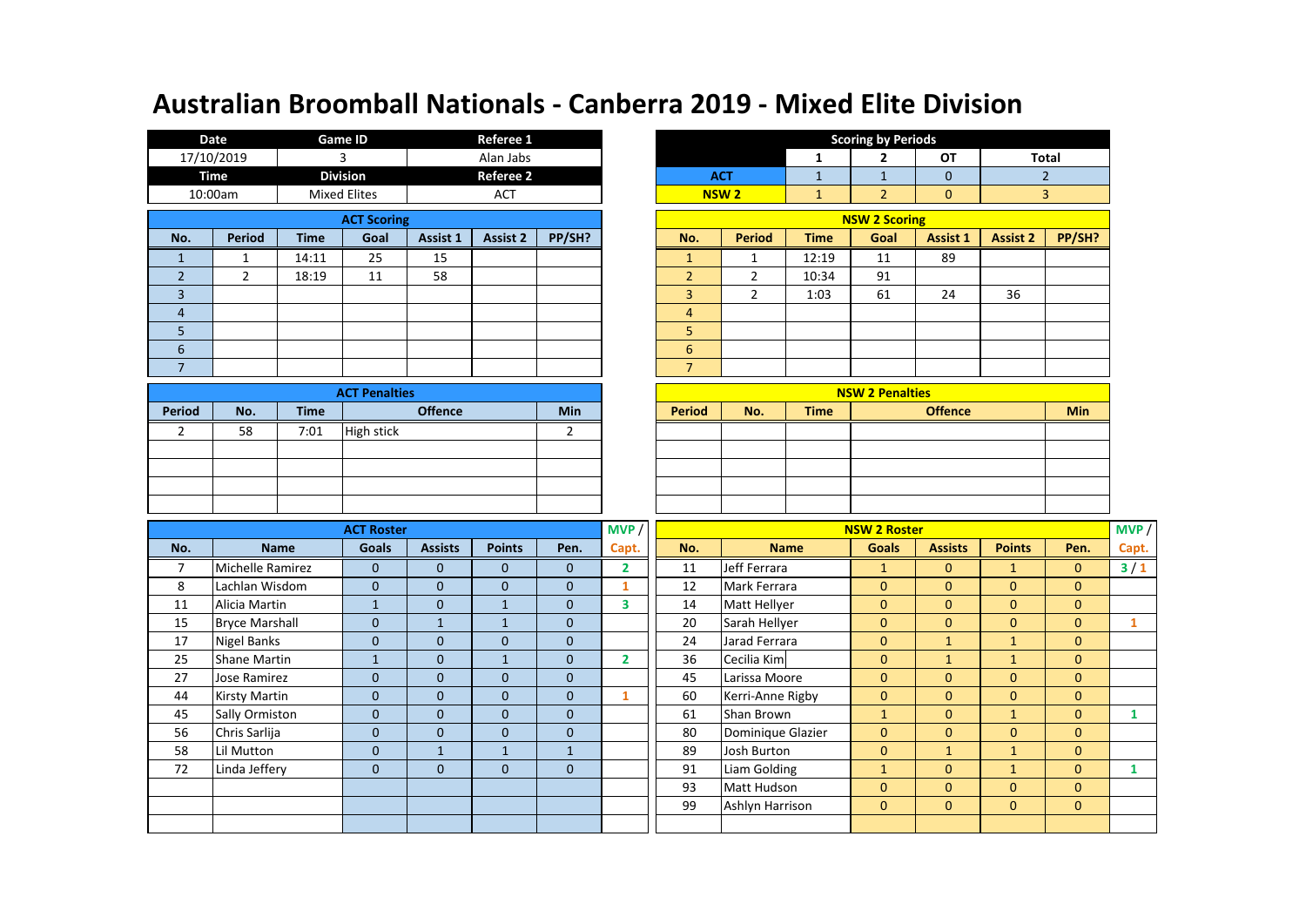|                    | Date           |             | <b>Game ID</b>      |          | Referee 1        |        |                |                        |                                | <b>Scoring by Periods</b> |                 |                 |
|--------------------|----------------|-------------|---------------------|----------|------------------|--------|----------------|------------------------|--------------------------------|---------------------------|-----------------|-----------------|
|                    | 17/10/2019     |             | 3                   |          | Alan Jabs        |        |                |                        | 1                              | 2                         | OT              | Tot             |
|                    | <b>Time</b>    |             | <b>Division</b>     |          | <b>Referee 2</b> |        |                | <b>ACT</b>             | ш                              |                           | $\mathbf 0$     | 2               |
|                    | 10:00am        |             | <b>Mixed Elites</b> |          | <b>ACT</b>       |        |                | <b>NSW<sub>2</sub></b> | $\overline{\phantom{a}}$<br>÷. | $\overline{2}$            | $\mathbf{0}$    | 3               |
| <b>ACT Scoring</b> |                |             |                     |          |                  |        |                |                        |                                | <b>NSW 2 Scoring</b>      |                 |                 |
| No.                | <b>Period</b>  | <b>Time</b> | Goal                | Assist 1 | <b>Assist 2</b>  | PP/SH? | No.            | Period                 | <b>Time</b>                    | Goal                      | <b>Assist 1</b> | <b>Assist 2</b> |
|                    | 1              | 14:11       | 25                  | 15       |                  |        | $\mathbf{1}$   |                        | 12:19                          | 11                        | 89              |                 |
| $\overline{2}$     | $\overline{2}$ | 18:19       | 11                  | 58       |                  |        | $\overline{2}$ | 2                      | 10:34                          | 91                        |                 |                 |
| 3                  |                |             |                     |          |                  |        | 3              | 2                      | 1:03                           | 61                        | 24              | 36              |
| $\overline{4}$     |                |             |                     |          |                  |        | $\overline{4}$ |                        |                                |                           |                 |                 |
| 5                  |                |             |                     |          |                  |        | 5              |                        |                                |                           |                 |                 |
| 6                  |                |             |                     |          |                  |        | 6              |                        |                                |                           |                 |                 |
|                    |                |             |                     |          |                  |        | $\overline{7}$ |                        |                                |                           |                 |                 |

|        |     |             | <b>ACT Penalties</b> |            |               |     |             | <b>NSW 2 Penalties</b> |     |
|--------|-----|-------------|----------------------|------------|---------------|-----|-------------|------------------------|-----|
| Period | No. | <b>Time</b> | <b>Offence</b>       | <b>Min</b> | <b>Period</b> | No. | <b>Time</b> | <b>Offence</b>         | Min |
|        | 58  | 7:01        | High stick           |            |               |     |             |                        |     |
|        |     |             |                      |            |               |     |             |                        |     |
|        |     |             |                      |            |               |     |             |                        |     |
|        |     |             |                      |            |               |     |             |                        |     |
|        |     |             |                      |            |               |     |             |                        |     |

|                    | Date           | <b>Game ID</b>      |      |          | Referee 1                 |  |  |                |                |             | <b>Scoring by Periods</b> |                 |                 |              |
|--------------------|----------------|---------------------|------|----------|---------------------------|--|--|----------------|----------------|-------------|---------------------------|-----------------|-----------------|--------------|
|                    | 17/10/2019     |                     |      |          | Alan Jabs                 |  |  |                |                | 1           | $\mathbf{2}$              | OT              |                 | <b>Total</b> |
|                    | Time           | <b>Division</b>     |      |          | <b>Referee 2</b>          |  |  |                | <b>ACT</b>     | ш.          |                           | $\mathbf 0$     |                 |              |
|                    | 10:00am        | <b>Mixed Elites</b> |      |          | <b>ACT</b>                |  |  |                | <b>NSW 2</b>   |             | 2                         | $\mathbf 0$     | 3               |              |
| <b>ACT Scoring</b> |                |                     |      |          |                           |  |  |                |                |             | <b>NSW 2 Scoring</b>      |                 |                 |              |
| No.                | Period         | <b>Time</b>         | Goal | Assist 1 | PP/SH?<br><b>Assist 2</b> |  |  | No.            | <b>Period</b>  | <b>Time</b> | Goal                      | <b>Assist 1</b> | <b>Assist 2</b> | PP/SH?       |
| $\mathbf{1}$       |                | 14:11               | 25   | 15       |                           |  |  |                |                | 12:19       | 11                        | 89              |                 |              |
| $\overline{2}$     | $\overline{2}$ | 18:19               | 11   | 58       |                           |  |  | $\overline{2}$ | $\overline{2}$ | 10:34       | 91                        |                 |                 |              |
| 3                  |                |                     |      |          |                           |  |  | 3              | 2              | 1:03        | 61                        | 24              | 36              |              |
| $\overline{4}$     |                |                     |      |          |                           |  |  | 4              |                |             |                           |                 |                 |              |
| 5                  |                |                     |      |          |                           |  |  | 5              |                |             |                           |                 |                 |              |
| 6                  |                |                     |      |          |                           |  |  | 6              |                |             |                           |                 |                 |              |
| $\overline{7}$     |                |                     |      |          |                           |  |  | $\overline{ }$ |                |             |                           |                 |                 |              |
|                    | A OT DAMARIAN  |                     |      |          |                           |  |  |                |                |             | <b>MCMIA Benelates</b>    |                 |                 |              |

| <b>ACT Penalties</b> |            |               |     |             | <b>NSW 2 Penalties</b> |            |
|----------------------|------------|---------------|-----|-------------|------------------------|------------|
| <b>Offence</b>       | <b>Min</b> | <b>Period</b> | No. | <b>Time</b> | <b>Offence</b>         | <b>Min</b> |
| <b>High stick</b>    |            |               |     |             |                        |            |
|                      |            |               |     |             |                        |            |
|                      |            |               |     |             |                        |            |
|                      |            |               |     |             |                        |            |
|                      |            |               |     |             |                        |            |

|     |                       | <b>ACT Roster</b> |                |               |              | MVP            |                     |                   | <b>NSW 2 Roster</b> |                |                |                | MVP / |
|-----|-----------------------|-------------------|----------------|---------------|--------------|----------------|---------------------|-------------------|---------------------|----------------|----------------|----------------|-------|
| No. | <b>Name</b>           | <b>Goals</b>      | <b>Assists</b> | <b>Points</b> | Pen.         | Capt.          | No.                 | <b>Name</b>       | <b>Goals</b>        | <b>Assists</b> | <b>Points</b>  | Pen.           | Capt. |
| 7   | Michelle Ramirez      | $\mathbf{0}$      | $\mathbf{0}$   | $\mathbf{0}$  | $\mathbf{0}$ | $\overline{2}$ | 11                  | Jeff Ferrara      |                     | $\mathbf{0}$   |                | $\mathbf{0}$   | $3/1$ |
| 8   | Lachlan Wisdom        | $\mathbf{0}$      | $\mathbf{0}$   | $\mathbf{0}$  | $\mathbf{0}$ |                | 12                  | Mark Ferrara      | $\mathbf{0}$        | $\mathbf{0}$   | $\overline{0}$ | $\mathbf{0}$   |       |
| 11  | Alicia Martin         | $\mathbf{1}$      | $\Omega$       |               | $\mathbf{0}$ | 3              | Matt Hellyer<br>14  |                   | $\mathbf{0}$        | $\mathbf{0}$   | $\overline{0}$ | $\mathbf{0}$   |       |
| 15  | <b>Bryce Marshall</b> | $\mathbf{0}$      | $\mathbf{1}$   | $\mathbf{1}$  | $\mathbf{0}$ |                | 20<br>Sarah Hellyer |                   | $\mathbf{0}$        | $\mathbf{0}$   | $\mathbf{0}$   | $\mathbf{0}$   |       |
| 17  | <b>Nigel Banks</b>    | $\mathbf{0}$      | $\mathbf 0$    | $\mathbf{0}$  | $\mathbf{0}$ |                | 24                  | Jarad Ferrara     | $\mathbf{0}$        | $\mathbf{1}$   | 1              | $\mathbf{0}$   |       |
| 25  | Shane Martin          |                   | $\mathbf{0}$   |               | $\Omega$     | $\overline{2}$ | 36                  | Cecilia Kim       | $\mathbf{0}$        | $\mathbf{1}$   | $\mathbf{1}$   | $\mathbf{0}$   |       |
| 27  | Jose Ramirez          | $\mathbf{0}$      | $\mathbf{0}$   | $\mathbf{0}$  | $\mathbf{0}$ |                | 45                  | Larissa Moore     | $\mathbf{0}$        | $\mathbf{0}$   | $\mathbf{0}$   | $\overline{0}$ |       |
| 44  | <b>Kirsty Martin</b>  | $\mathbf{0}$      | $\mathbf 0$    | $\mathbf{0}$  | $\mathbf{0}$ |                | 60                  | Kerri-Anne Rigby  | $\mathbf{0}$        | $\mathbf{0}$   | $\mathbf{0}$   | $\mathbf{0}$   |       |
| 45  | Sally Ormiston        | $\Omega$          | $\Omega$       | $\mathbf{0}$  | $\Omega$     |                | 61                  | Shan Brown        |                     | $\Omega$       | $\mathbf{1}$   | $\Omega$       |       |
| 56  | Chris Sarlija         | $\mathbf{0}$      | $\Omega$       | $\mathbf{0}$  | $\mathbf{0}$ |                | 80                  | Dominique Glazier | $\mathbf{0}$        | $\Omega$       | $\overline{0}$ | $\mathbf{0}$   |       |
| 58  | Lil Mutton            | $\Omega$          |                | $\mathbf{1}$  |              |                | 89                  | Josh Burton       | $\mathbf{0}$        | $\mathbf{1}$   | $\mathbf{1}$   | $\Omega$       |       |
| 72  | Linda Jeffery         | $\mathbf{0}$      | $\mathbf 0$    | $\mathbf{0}$  | $\mathbf{0}$ |                | 91                  | Liam Golding      | $\mathbf{1}$        | $\mathbf{0}$   | $\mathbf{1}$   | $\mathbf{0}$   |       |
|     |                       |                   |                |               |              |                | 93                  | Matt Hudson       | $\mathbf{0}$        | $\mathbf{0}$   | $\mathbf{0}$   | $\mathbf{0}$   |       |
|     |                       |                   |                |               |              |                | 99                  | Ashlyn Harrison   | $\mathbf{0}$        | $\mathbf{0}$   | $\mathbf{0}$   | $\mathbf{0}$   |       |
|     |                       |                   |                |               |              |                |                     |                   |                     |                |                |                |       |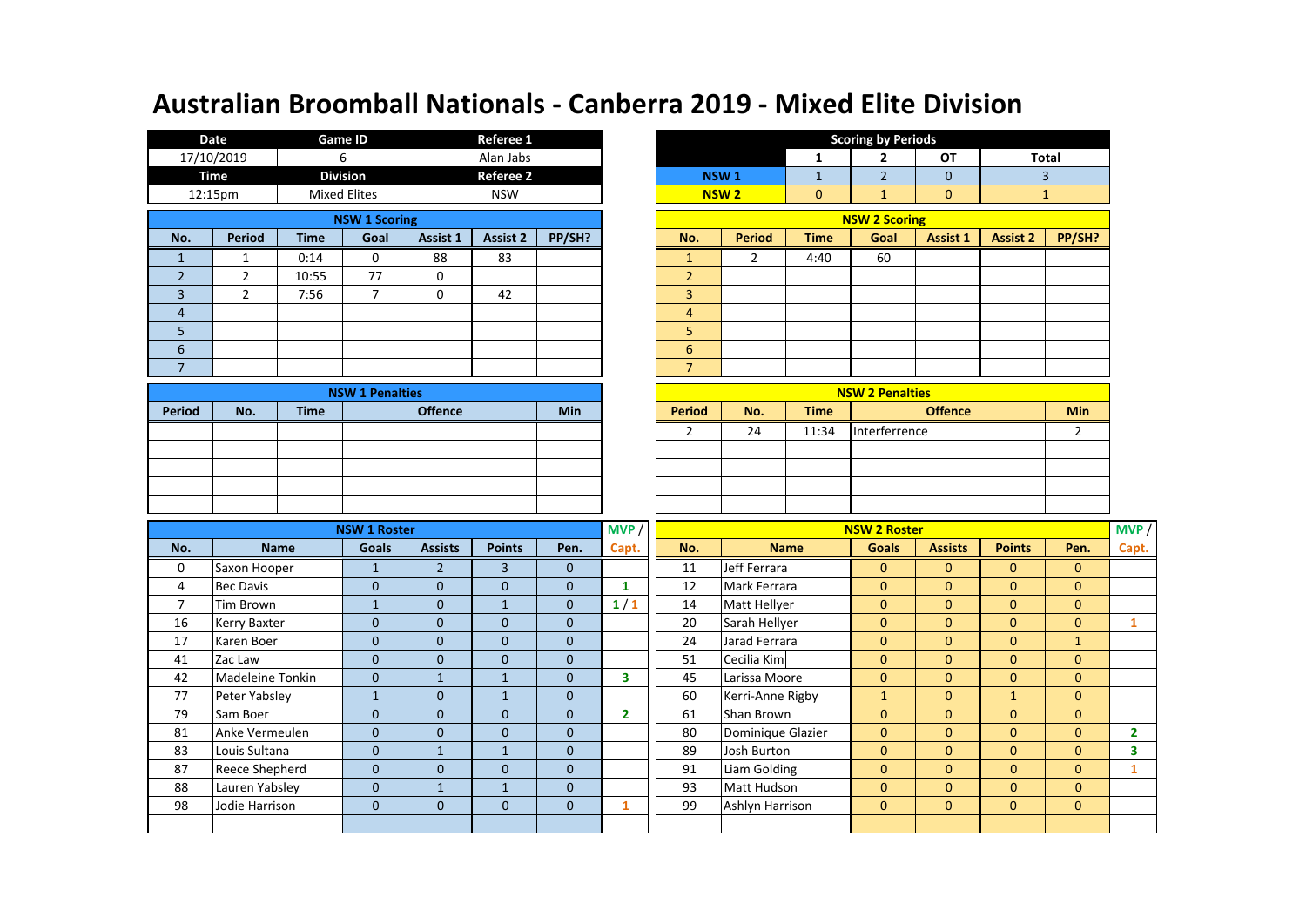|                          | Date                                         |             | <b>Game ID</b>  |          | Referee 1        |        |                        |                  |             | <b>Scoring by Periods</b> |                 |                 |
|--------------------------|----------------------------------------------|-------------|-----------------|----------|------------------|--------|------------------------|------------------|-------------|---------------------------|-----------------|-----------------|
|                          | 17/10/2019                                   |             | 6               |          | Alan Jabs        |        |                        |                  |             | 2                         | OT              | Tot             |
|                          | Time                                         |             | <b>Division</b> |          | <b>Referee 2</b> |        |                        | NSW <sub>1</sub> | ÷.          |                           | $\mathbf{0}$    |                 |
|                          | <b>Mixed Elites</b><br>12:15pm<br><b>NSW</b> |             |                 |          |                  |        | <b>NSW<sub>2</sub></b> | $\mathbf{0}$     |             | $\mathbf{0}$              |                 |                 |
| <b>NSW 1 Scoring</b>     |                                              |             |                 |          |                  |        |                        |                  |             | <b>NSW 2 Scoring</b>      |                 |                 |
| No.                      | <b>Period</b>                                | <b>Time</b> | Goal            | Assist 1 | <b>Assist 2</b>  | PP/SH? | No.                    | <b>Period</b>    | <b>Time</b> | Goal                      | <b>Assist 1</b> | <b>Assist 2</b> |
|                          |                                              | 0:14        | 0               | 88       | 83               |        |                        | 2                | 4:40        | 60                        |                 |                 |
| $\overline{2}$           | $\overline{2}$                               | 10:55       | 77              | 0        |                  |        | $\overline{2}$         |                  |             |                           |                 |                 |
| 3                        | $\overline{2}$                               | 7:56        | 7               | 0        | 42               |        | 3                      |                  |             |                           |                 |                 |
| $\overline{4}$           |                                              |             |                 |          |                  |        | $\overline{4}$         |                  |             |                           |                 |                 |
| 5                        |                                              |             |                 |          |                  |        | 5                      |                  |             |                           |                 |                 |
| 6                        |                                              |             |                 |          |                  |        | 6                      |                  |             |                           |                 |                 |
| $\overline{\phantom{a}}$ |                                              |             |                 |          |                  |        | $\overline{7}$         |                  |             |                           |                 |                 |

|        |     |             | <b>NSW 1 Penalties</b> |            |               |     |             | <b>NSW 2 Penalties</b> |     |
|--------|-----|-------------|------------------------|------------|---------------|-----|-------------|------------------------|-----|
| Period | No. | <b>Time</b> | <b>Offence</b>         | <b>Min</b> | <b>Period</b> | No. | <b>Time</b> | <b>Offence</b>         | Min |
|        |     |             |                        |            |               | 24  | 11:34       | Interferrence          |     |
|        |     |             |                        |            |               |     |             |                        |     |
|        |     |             |                        |            |               |     |             |                        |     |
|        |     |             |                        |            |               |     |             |                        |     |
|        |     |             |                        |            |               |     |             |                        |     |

|                      | Referee 1<br><b>Game ID</b><br>Date |                     |                        |          |                           |  |  |                |                  |                        | <b>Scoring by Periods</b> |                 |                 |              |
|----------------------|-------------------------------------|---------------------|------------------------|----------|---------------------------|--|--|----------------|------------------|------------------------|---------------------------|-----------------|-----------------|--------------|
|                      | 17/10/2019                          | 6                   |                        |          | Alan Jabs                 |  |  |                |                  |                        | 2                         | OT              |                 | <b>Total</b> |
|                      | Time                                | <b>Division</b>     |                        |          | <b>Referee 2</b>          |  |  |                | NSW <sub>1</sub> |                        | $\overline{2}$            | $\mathbf{0}$    |                 | 3            |
|                      | 12:15pm                             | <b>Mixed Elites</b> |                        |          | <b>NSW</b>                |  |  |                | NSW <sub>2</sub> | $\mathbf{0}$           | 1                         | $\mathbf{0}$    |                 |              |
| <b>NSW 1 Scoring</b> |                                     |                     |                        |          |                           |  |  |                |                  |                        | <b>NSW 2 Scoring</b>      |                 |                 |              |
| No.                  | <b>Period</b>                       | <b>Time</b>         | Goal                   | Assist 1 | PP/SH?<br><b>Assist 2</b> |  |  | No.            | <b>Period</b>    | <b>Time</b>            | Goal                      | <b>Assist 1</b> | <b>Assist 2</b> | PP/SH?       |
| $\mathbf{1}$         |                                     | 0:14                | 0                      | 88       | 83                        |  |  |                | 2                | 4:40                   | 60                        |                 |                 |              |
| $\overline{2}$       | $\mathcal{P}$                       | 10:55               | 77                     | 0        |                           |  |  | $\overline{2}$ |                  |                        |                           |                 |                 |              |
| 3                    | 2                                   | 7:56                | 7                      | 0        | 42                        |  |  | 3              |                  |                        |                           |                 |                 |              |
| $\overline{4}$       |                                     |                     |                        |          |                           |  |  | $\overline{4}$ |                  |                        |                           |                 |                 |              |
| 5                    |                                     |                     |                        |          |                           |  |  | 5              |                  |                        |                           |                 |                 |              |
| 6                    |                                     |                     |                        |          |                           |  |  | 6              |                  |                        |                           |                 |                 |              |
| $\overline{7}$       |                                     |                     |                        |          |                           |  |  | ∍              |                  |                        |                           |                 |                 |              |
|                      |                                     |                     | <b>NSW 1 Penalties</b> |          |                           |  |  |                |                  | <b>NSW 2 Penalties</b> |                           |                 |                 |              |

|                |     |  |               |     |             | <b>NSW 2 Penalties</b> |     |
|----------------|-----|--|---------------|-----|-------------|------------------------|-----|
| <b>Offence</b> | Min |  | <b>Period</b> | No. | <b>Time</b> | <b>Offence</b>         | Min |
|                |     |  |               | 24  | 11:34       | Interferrence          |     |
|                |     |  |               |     |             |                        |     |
|                |     |  |               |     |             |                        |     |
|                |     |  |               |     |             |                        |     |
|                |     |  |               |     |             |                        |     |

|                |                  | <b>NSW 1 Roster</b> |                |               |              | MVP /        |                    |                   | <b>NSW 2 Roster</b> |                |               |              | MVP / |
|----------------|------------------|---------------------|----------------|---------------|--------------|--------------|--------------------|-------------------|---------------------|----------------|---------------|--------------|-------|
| No.            | <b>Name</b>      | Goals               | <b>Assists</b> | <b>Points</b> | Pen.         | Capt.        | No.                | <b>Name</b>       | Goals               | <b>Assists</b> | <b>Points</b> | Pen.         | Capt. |
| 0              | Saxon Hooper     |                     | $\overline{2}$ | 3             | $\Omega$     |              | 11                 | Jeff Ferrara      | $\mathbf{0}$        | $\mathbf{0}$   | $\mathbf{0}$  | $\mathbf{0}$ |       |
| 4              | Bec Davis        | $\mathbf{0}$        | $\mathbf{0}$   | $\mathbf{0}$  | $\mathbf{0}$ |              | 12                 | Mark Ferrara      | $\mathbf{0}$        | $\mathbf{0}$   | $\mathbf{0}$  | $\mathbf{0}$ |       |
| $\overline{7}$ | Tim Brown        | $\mathbf{1}$        | $\mathbf{0}$   | Ŧ             | $\mathbf{0}$ | 1/1          | Matt Hellyer<br>14 |                   | $\mathbf{0}$        | $\mathbf{0}$   | $\mathbf{0}$  | $\mathbf{0}$ |       |
| 16             | Kerry Baxter     | $\mathbf{0}$        | $\Omega$       | $\mathbf{0}$  | $\mathbf{0}$ |              | 20                 | Sarah Hellyer     |                     | $\mathbf{0}$   | $\mathbf{0}$  | $\mathbf{0}$ |       |
| 17             | Karen Boer       | $\mathbf{0}$        | $\Omega$       | $\mathbf{0}$  | $\mathbf{0}$ |              | 24                 | Jarad Ferrara     | $\mathbf{0}$        | $\mathbf{0}$   | $\mathbf{0}$  | $\mathbf{1}$ |       |
| 41             | Zac Law          | $\Omega$            | $\mathbf{0}$   | $\mathbf{0}$  | $\mathbf{0}$ |              | 51                 | Cecilia Kim       | $\mathbf{0}$        | $\mathbf{0}$   | $\mathbf{0}$  | $\mathbf{0}$ |       |
| 42             | Madeleine Tonkin | $\mathbf{0}$        |                |               | $\mathbf{0}$ | 3            | 45                 | Larissa Moore     | $\mathbf{0}$        | $\mathbf{0}$   | $\mathbf{0}$  | $\mathbf{0}$ |       |
| 77             | Peter Yabsley    | $\mathbf{1}$        | $\mathbf{0}$   |               | $\mathbf{0}$ |              | 60                 | Kerri-Anne Rigby  | $\mathbf{1}$        | $\mathbf{0}$   | $\mathbf{1}$  | $\mathbf{0}$ |       |
| 79             | Sam Boer         | $\Omega$            | $\Omega$       | $\mathbf{0}$  | $\mathbf{0}$ | $\mathbf{2}$ | 61                 | Shan Brown        | $\mathbf{0}$        | $\mathbf{0}$   | $\mathbf{0}$  | $\mathbf{0}$ |       |
| 81             | Anke Vermeulen   | $\Omega$            | $\Omega$       | $\mathbf{0}$  | $\Omega$     |              | 80                 | Dominique Glazier | $\mathbf{0}$        | $\mathbf{0}$   | $\mathbf{0}$  | $\Omega$     |       |
| 83             | Louis Sultana    | $\mathbf{0}$        | $\mathbf{1}$   |               | $\Omega$     |              | 89                 | Josh Burton       | $\mathbf{0}$        | $\mathbf{0}$   | $\mathbf{0}$  | $\Omega$     | 3     |
| 87             | Reece Shepherd   | $\mathbf{0}$        | $\mathbf{0}$   | $\mathbf{0}$  | $\mathbf{0}$ |              | 91                 | Liam Golding      | $\mathbf{0}$        | $\mathbf{0}$   | 0             | $\mathbf{0}$ |       |
| 88             | Lauren Yabsley   | $\mathbf{0}$        |                |               | $\mathbf{0}$ |              | 93<br>Matt Hudson  |                   | $\mathbf{0}$        | $\mathbf{0}$   | $\mathbf{0}$  | $\mathbf{0}$ |       |
| 98             | Jodie Harrison   | $\mathbf{0}$        | $\mathbf 0$    | $\mathbf{0}$  | $\mathbf{0}$ |              | 99                 | Ashlyn Harrison   | $\mathbf{0}$        | $\mathbf{0}$   | $\mathbf{0}$  | $\mathbf{0}$ |       |
|                |                  |                     |                |               |              |              |                    |                   |                     |                |               |              |       |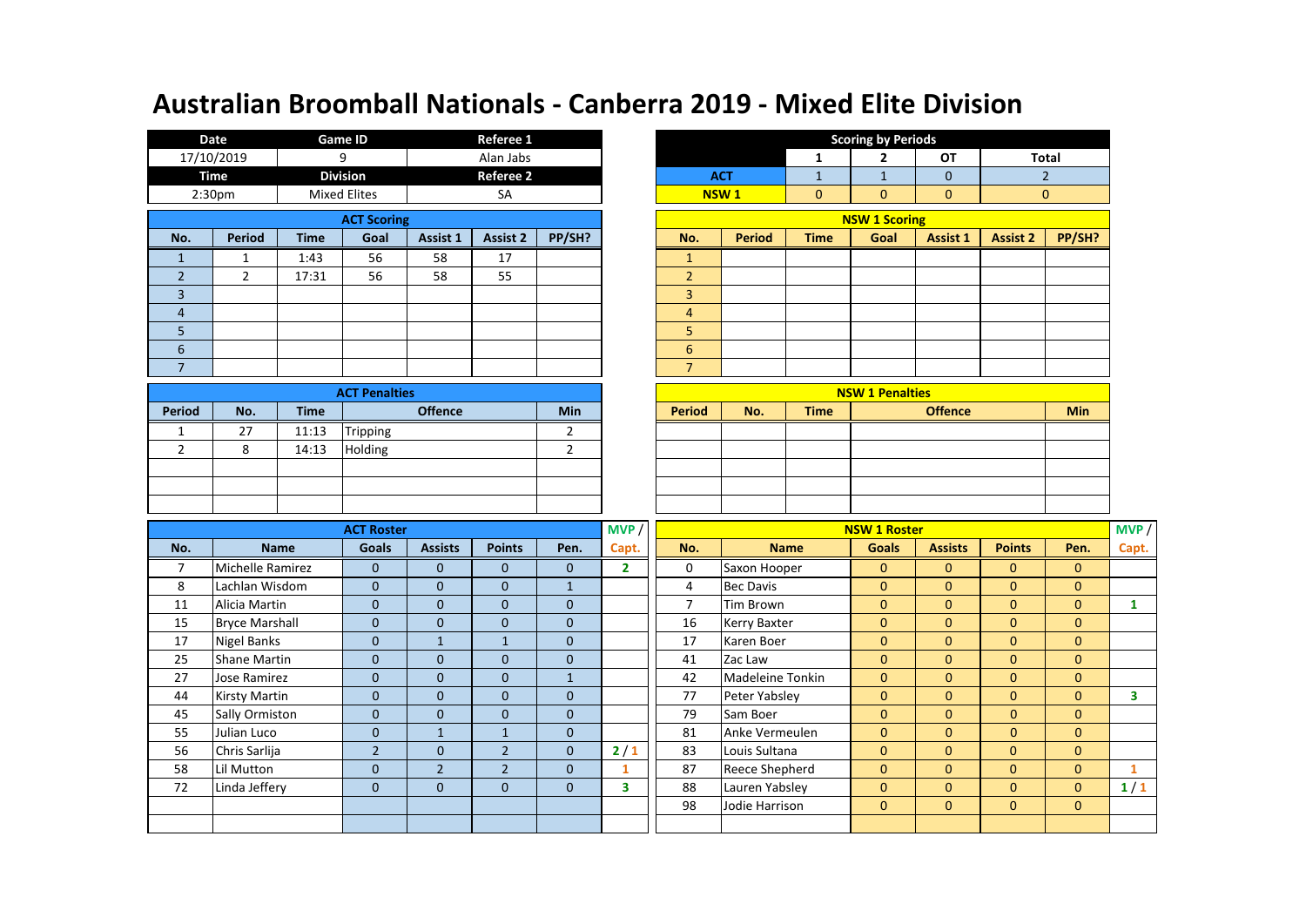|                    | Date                                                   |             | <b>Game ID</b>  |          | Referee 1        |        |                  |               |              | <b>Scoring by Periods</b> |              |                 |
|--------------------|--------------------------------------------------------|-------------|-----------------|----------|------------------|--------|------------------|---------------|--------------|---------------------------|--------------|-----------------|
|                    | 17/10/2019                                             |             | 9               |          | Alan Jabs        |        |                  |               | 1            | 2                         | OT           | Tot             |
|                    | Time                                                   |             | <b>Division</b> |          | <b>Referee 2</b> |        |                  | <b>ACT</b>    | $\mathbf{1}$ |                           | $\mathbf{0}$ |                 |
|                    | 2:30 <sub>pm</sub><br><b>Mixed Elites</b><br><b>SA</b> |             |                 |          |                  |        | NSW <sub>1</sub> | $\mathbf{0}$  | $\mathbf{0}$ | $\mathbf 0$               | $\mathbf 0$  |                 |
| <b>ACT Scoring</b> |                                                        |             |                 |          |                  |        |                  |               |              | <b>NSW 1 Scoring</b>      |              |                 |
| No.                | <b>Period</b>                                          | <b>Time</b> | Goal            | Assist 1 | <b>Assist 2</b>  | PP/SH? | No.              | <b>Period</b> | <b>Time</b>  | Goal                      | Assist 1     | <b>Assist 2</b> |
|                    |                                                        | 1:43        | 56              | 58       | 17               |        |                  |               |              |                           |              |                 |
| $\overline{2}$     | 2                                                      | 17:31       | 56              | 58       | 55               |        | $\overline{2}$   |               |              |                           |              |                 |
| 3                  |                                                        |             |                 |          |                  |        | 3                |               |              |                           |              |                 |
| 4                  |                                                        |             |                 |          |                  |        | 4                |               |              |                           |              |                 |
| 5                  |                                                        |             |                 |          |                  |        | 5                |               |              |                           |              |                 |
| 6                  |                                                        |             |                 |          |                  |        | 6                |               |              |                           |              |                 |
|                    |                                                        |             |                 |          |                  |        | 7                |               |              |                           |              |                 |

|               |              |             | <b>ACT Penalties</b> |            |               |     |             | <b>NSW 1 Penalties</b> |     |
|---------------|--------------|-------------|----------------------|------------|---------------|-----|-------------|------------------------|-----|
| <b>Period</b> | No.          | <b>Time</b> | <b>Offence</b>       | <b>Min</b> | <b>Period</b> | No. | <b>Time</b> | <b>Offence</b>         | Min |
|               | 27           | 11:13       | Tripping             |            |               |     |             |                        |     |
|               | $\circ$<br>Õ | 14:13       | Holding              |            |               |     |             |                        |     |
|               |              |             |                      |            |               |     |             |                        |     |
|               |              |             |                      |            |               |     |             |                        |     |
|               |              |             |                      |            |               |     |             |                        |     |

|                      | Date               | <b>Game ID</b> |                     | <b>Scoring by Periods</b><br>Referee 1 |                  |        |  |                |                  |             |                        |                 |                 |              |
|----------------------|--------------------|----------------|---------------------|----------------------------------------|------------------|--------|--|----------------|------------------|-------------|------------------------|-----------------|-----------------|--------------|
|                      | 17/10/2019         | 9              |                     |                                        | Alan Jabs        |        |  |                |                  | 1           | 2                      | OT              |                 | Total        |
|                      | Time               |                | <b>Division</b>     |                                        | <b>Referee 2</b> |        |  |                | <b>ACT</b>       |             |                        | $\mathbf{0}$    |                 |              |
|                      | 2:30 <sub>pm</sub> |                | <b>Mixed Elites</b> |                                        | <b>SA</b>        |        |  |                | NSW <sub>1</sub> | 0           | $\mathbf{0}$           | $\mathbf{0}$    |                 | $\mathbf{0}$ |
|                      | <b>ACT Scoring</b> |                |                     |                                        |                  |        |  |                |                  |             | <b>NSW 1 Scoring</b>   |                 |                 |              |
| No.                  | <b>Period</b>      | <b>Time</b>    | Goal                | Assist 1                               | <b>Assist 2</b>  | PP/SH? |  | No.            | <b>Period</b>    | <b>Time</b> | Goal                   | <b>Assist 1</b> | <b>Assist 2</b> | PP/SH?       |
| $\mathbf{1}$         |                    | 1:43           | 56                  | 58                                     | 17               |        |  |                |                  |             |                        |                 |                 |              |
| $\overline{2}$       | $\overline{2}$     | 17:31          | 56                  | 58                                     | 55               |        |  | $\overline{2}$ |                  |             |                        |                 |                 |              |
| 3                    |                    |                |                     |                                        |                  |        |  | 3              |                  |             |                        |                 |                 |              |
| $\overline{4}$       |                    |                |                     |                                        |                  |        |  | $\overline{4}$ |                  |             |                        |                 |                 |              |
| 5                    |                    |                |                     |                                        |                  |        |  | 5              |                  |             |                        |                 |                 |              |
| 6                    |                    |                |                     |                                        |                  |        |  | 6              |                  |             |                        |                 |                 |              |
| $\overline{7}$       |                    |                |                     |                                        |                  |        |  | $\overline{7}$ |                  |             |                        |                 |                 |              |
| <b>ACT Penalties</b> |                    |                |                     |                                        |                  |        |  |                |                  |             | <b>NSW 1 Penalties</b> |                 |                 |              |

| <b>ACT Penalties</b> |     |               |     |             | <b>NSW 1 Penalties</b> |            |
|----------------------|-----|---------------|-----|-------------|------------------------|------------|
| <b>Offence</b>       | Min | <b>Period</b> | No. | <b>Time</b> | <b>Offence</b>         | <b>Min</b> |
| Tripping             |     |               |     |             |                        |            |
| Holding              |     |               |     |             |                        |            |
|                      |     |               |     |             |                        |            |
|                      |     |               |     |             |                        |            |
|                      |     |               |     |             |                        |            |

|     |                       | <b>ACT Roster</b>                                                  |                |                |                | MVP /          | <b>NSW 1 Roster</b> |                     |                |                |                |                |       |
|-----|-----------------------|--------------------------------------------------------------------|----------------|----------------|----------------|----------------|---------------------|---------------------|----------------|----------------|----------------|----------------|-------|
| No. | <b>Name</b>           | Goals                                                              | <b>Assists</b> | <b>Points</b>  | Pen.           | Capt.          | No.                 | <b>Name</b>         | <b>Goals</b>   | <b>Assists</b> | <b>Points</b>  | Pen.           | Capt. |
| 7   | Michelle Ramirez      | $\Omega$                                                           | $\Omega$       | $\mathbf{0}$   | $\Omega$       | $\overline{2}$ | 0                   | Saxon Hooper        | $\mathbf{0}$   | $\mathbf{0}$   | $\mathbf{0}$   | $\mathbf{0}$   |       |
| 8   | Lachlan Wisdom        | $\mathbf{0}$                                                       | $\mathbf{0}$   | $\mathbf 0$    |                |                | 4                   | <b>Bec Davis</b>    | $\mathbf{0}$   | $\mathbf{0}$   | $\mathbf{0}$   | $\mathbf{0}$   |       |
| 11  | Alicia Martin         | $\mathbf{0}$                                                       | $\Omega$       | $\mathbf{0}$   | $\mathbf{0}$   |                | 7                   | Tim Brown           | $\mathbf{0}$   | $\mathbf{0}$   | $\mathbf{0}$   | $\mathbf{0}$   |       |
| 15  | <b>Bryce Marshall</b> | $\Omega$                                                           | $\Omega$       | $\mathbf{0}$   | $\Omega$       |                | 16                  | <b>Kerry Baxter</b> | $\mathbf{0}$   | $\Omega$       | $\overline{0}$ | $\Omega$       |       |
| 17  | Nigel Banks           | $\mathbf{0}$<br>17<br>$\mathbf{0}$<br>$\overline{1}$<br>Karen Boer |                |                |                |                |                     | $\mathbf{0}$        | $\mathbf{0}$   | $\mathbf{0}$   | $\mathbf{0}$   |                |       |
| 25  | Shane Martin          | $\mathbf{0}$                                                       | $\Omega$       | $\mathbf{0}$   | $\mathbf{0}$   |                | 41                  | Zac Law             | $\mathbf{0}$   | $\mathbf{0}$   | $\mathbf{0}$   | $\mathbf{0}$   |       |
| 27  | Jose Ramirez          | $\mathbf{0}$                                                       | $\mathbf{0}$   | $\mathbf 0$    | $\mathbf{1}$   |                | 42                  | Madeleine Tonkin    | $\mathbf{0}$   | $\mathbf{0}$   | $\overline{0}$ | $\mathbf{0}$   |       |
| 44  | Kirsty Martin         | $\mathbf{0}$                                                       | $\mathbf{0}$   | $\mathbf{0}$   | $\overline{0}$ |                | 77                  | Peter Yabsley       | $\mathbf{0}$   | $\mathbf{0}$   | $\overline{0}$ | $\mathbf{0}$   | 3.    |
| 45  | Sally Ormiston        | $\mathbf{0}$                                                       | $\mathbf{0}$   | $\mathbf{0}$   | $\overline{0}$ |                | 79                  | Sam Boer            | $\mathbf{0}$   | $\mathbf{0}$   | $\mathbf{0}$   | $\overline{0}$ |       |
| 55  | Julian Luco           | $\mathbf{0}$                                                       | $\mathbf{1}$   | $\mathbf{1}$   | $\mathbf{0}$   |                | 81                  | Anke Vermeulen      | $\mathbf{0}$   | $\mathbf{0}$   | $\mathbf{0}$   | $\mathbf{0}$   |       |
| 56  | Chris Sarlija         | $\overline{2}$                                                     | $\mathbf 0$    | $\overline{2}$ | $\overline{0}$ | $2/1$          | 83                  | Louis Sultana       | $\mathbf{0}$   | $\mathbf{0}$   | $\mathbf{0}$   | $\mathbf{0}$   |       |
| 58  | Lil Mutton            | $\mathbf{0}$                                                       | $\overline{2}$ | $\overline{2}$ | $\mathbf{0}$   |                | 87                  | Reece Shepherd      | $\mathbf{0}$   | $\mathbf{0}$   | $\mathbf{0}$   | $\mathbf{0}$   |       |
| 72  | Linda Jeffery         | $\mathbf{0}$                                                       | $\mathbf{0}$   | $\mathbf 0$    | $\mathbf{0}$   | 3              | 88                  | Lauren Yabsley      | $\mathbf{0}$   | $\mathbf{0}$   | $\mathbf{0}$   | $\mathbf{0}$   | 1/1   |
|     |                       |                                                                    |                |                | 98             | Jodie Harrison | $\mathbf{0}$        | $\mathbf{0}$        | $\overline{0}$ | $\mathbf{0}$   |                |                |       |
|     |                       |                                                                    |                |                |                |                |                     |                     |                |                |                |                |       |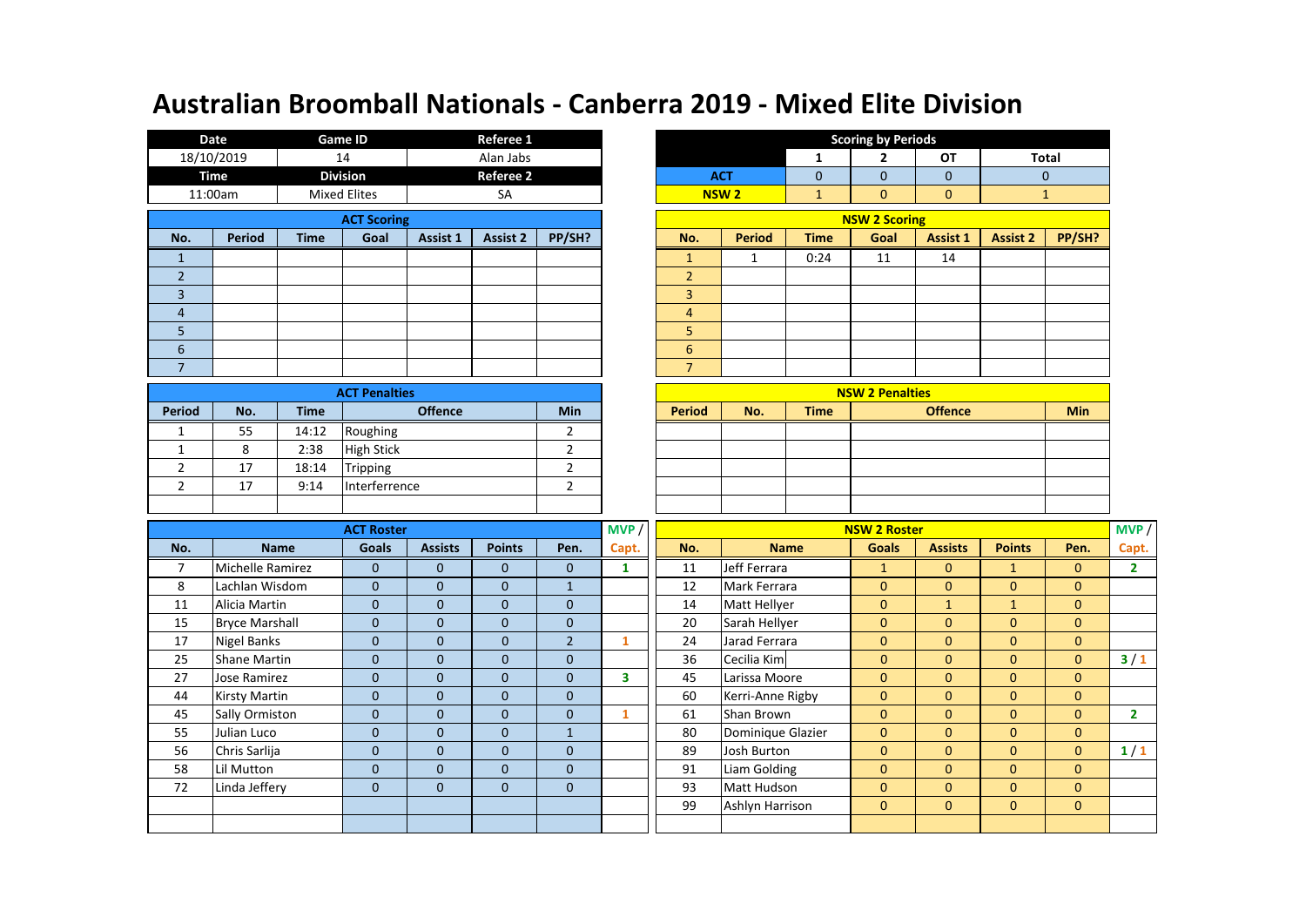|                | <b>Date</b>           |             | <b>Game ID</b>                              |                | Referee 1        |                         |              |                  |                   |                | <b>Scoring by Periods</b> |                |                 |              |
|----------------|-----------------------|-------------|---------------------------------------------|----------------|------------------|-------------------------|--------------|------------------|-------------------|----------------|---------------------------|----------------|-----------------|--------------|
|                | 18/10/2019            |             | 14                                          |                | Alan Jabs        |                         |              |                  |                   | $\mathbf{1}$   | $\overline{2}$            | <b>OT</b>      |                 | <b>Total</b> |
|                | <b>Time</b>           |             | <b>Division</b>                             |                | <b>Referee 2</b> |                         |              |                  | <b>ACT</b>        | $\overline{0}$ | $\mathbf{0}$              | $\overline{0}$ |                 | $\mathbf{0}$ |
|                | 11:00am               |             | <b>Mixed Elites</b>                         |                | SA               |                         |              |                  | <b>NSW2</b>       | $\mathbf{1}$   | $\mathbf{0}$              | $\mathbf{0}$   |                 | $\mathbf{1}$ |
|                |                       |             | <b>ACT Scoring</b>                          |                |                  |                         |              |                  |                   |                | <b>NSW 2 Scoring</b>      |                |                 |              |
| No.            | <b>Period</b>         | <b>Time</b> | Goal                                        | Assist 1       | <b>Assist 2</b>  | PP/SH?                  |              | No.              | <b>Period</b>     | <b>Time</b>    | Goal                      | Assist 1       | <b>Assist 2</b> | PP/SH?       |
| $\mathbf{1}$   |                       |             |                                             |                |                  |                         |              | $\mathbf{1}$     | $\mathbf{1}$      | 0:24           | 11                        | 14             |                 |              |
| $\overline{2}$ |                       |             |                                             |                |                  |                         |              | $\overline{2}$   |                   |                |                           |                |                 |              |
| $\overline{3}$ |                       |             |                                             |                |                  |                         |              | $\overline{3}$   |                   |                |                           |                |                 |              |
| $\overline{4}$ |                       |             |                                             |                |                  |                         |              | $\overline{4}$   |                   |                |                           |                |                 |              |
| 5              |                       |             |                                             |                |                  |                         |              | 5                |                   |                |                           |                |                 |              |
| 6              |                       |             |                                             |                |                  |                         |              | $6\phantom{1}$   |                   |                |                           |                |                 |              |
| $\overline{7}$ |                       |             |                                             |                |                  |                         |              | $\overline{7}$   |                   |                |                           |                |                 |              |
|                |                       |             | <b>ACT Penalties</b>                        |                |                  |                         |              |                  |                   |                | <b>NSW 2 Penalties</b>    |                |                 |              |
| <b>Period</b>  | No.                   | <b>Time</b> |                                             | <b>Offence</b> |                  | Min                     |              | <b>Period</b>    | No.               | <b>Time</b>    |                           | <b>Offence</b> |                 | <b>Min</b>   |
| 1              | 55                    | 14:12       | Roughing                                    |                |                  | 2                       |              |                  |                   |                |                           |                |                 |              |
| $\mathbf{1}$   | 8                     | 2:38        | <b>High Stick</b>                           |                |                  | $\overline{2}$          |              |                  |                   |                |                           |                |                 |              |
| $\overline{2}$ | 17                    | 18:14       | Tripping                                    |                |                  | $\overline{2}$          |              |                  |                   |                |                           |                |                 |              |
| $\overline{2}$ | 17                    | 9:14        | Interferrence                               |                |                  | $\overline{2}$          |              |                  |                   |                |                           |                |                 |              |
|                |                       |             |                                             |                |                  |                         |              |                  |                   |                |                           |                |                 |              |
|                |                       |             | <b>ACT Roster</b>                           |                |                  |                         | MVP          |                  |                   |                | <b>NSW 2 Roster</b>       |                |                 |              |
| No.            |                       | <b>Name</b> | <b>Goals</b>                                | <b>Assists</b> | <b>Points</b>    | Pen.                    | Capt.        | No.              |                   | <b>Name</b>    | <b>Goals</b>              | <b>Assists</b> | <b>Points</b>   | Pen.         |
| $\overline{7}$ | Michelle Ramirez      |             | $\mathbf 0$                                 | $\mathbf 0$    | $\mathbf{0}$     | $\mathbf{0}$            | $\mathbf{1}$ | 11               | Jeff Ferrara      |                | $\mathbf{1}$              | $\mathbf{0}$   | $\mathbf{1}$    | $\mathbf{0}$ |
| 8              | Lachlan Wisdom        |             | $\mathbf 0$                                 | $\mathbf 0$    | $\mathbf{0}$     | $\mathbf{1}$            |              | 12               | Mark Ferrara      |                | $\mathbf{0}$              | $\mathbf{0}$   | $\mathbf{0}$    | $\mathbf{0}$ |
| 11             | Alicia Martin         |             | $\mathbf 0$                                 | $\mathbf 0$    | $\mathbf{0}$     | $\mathbf{0}$            |              | 14               | Matt Hellyer      |                | $\mathbf{0}$              | $\mathbf{1}$   | $\mathbf{1}$    | $\mathbf{0}$ |
| 15             | <b>Bryce Marshall</b> |             | $\mathbf 0$                                 | $\mathbf 0$    | $\mathbf{0}$     | $\mathbf 0$             |              | 20               | Sarah Hellyer     |                | $\mathbf{0}$              | $\mathbf{0}$   | $\mathbf{0}$    | $\mathbf{0}$ |
| 17             | <b>Nigel Banks</b>    |             | $\mathbf 0$                                 | $\mathbf 0$    | $\mathbf{0}$     | $\overline{2}$          | $\mathbf{1}$ | 24               | Jarad Ferrara     |                | $\mathbf{0}$              | $\overline{0}$ | $\mathbf{0}$    | $\mathbf{0}$ |
| 25             | <b>Shane Martin</b>   |             | $\mathbf 0$<br>$\mathbf 0$<br>$\mathbf{0}$  |                | $\mathbf 0$      |                         | 36           | Cecilia Kim      |                   | $\mathbf{0}$   | $\mathbf{0}$              | $\mathbf{0}$   | $\mathbf{0}$    |              |
| 27             | <b>Jose Ramirez</b>   |             | $\mathbf 0$<br>$\mathbf{0}$<br>$\mathbf{0}$ |                | $\mathbf{0}$     | $\overline{\mathbf{3}}$ | 45           | Larissa Moore    |                   | $\mathbf{0}$   | $\overline{0}$            | $\mathbf{0}$   | $\mathbf{0}$    |              |
| 44             | <b>Kirsty Martin</b>  |             | $\mathbf 0$<br>$\mathbf{0}$<br>$\mathbf{0}$ |                | $\mathbf 0$      |                         | 60           | Kerri-Anne Rigby |                   | $\mathbf{0}$   | $\overline{0}$            | $\mathbf{0}$   | $\mathbf{0}$    |              |
| 45             | Sally Ormiston        |             | $\mathbf 0$                                 | $\mathbf{0}$   | $\mathbf 0$      | $\mathbf 0$             | $\mathbf{1}$ | 61               | Shan Brown        |                | $\mathbf 0$               | $\mathbf{0}$   | 0               | $\mathbf{0}$ |
| 55             | Julian Luco           |             | $\mathbf{0}$                                | $\mathbf 0$    | $\mathbf{0}$     | $\mathbf{1}$            |              | 80               | Dominique Glazier |                | $\mathbf{0}$              | $\overline{0}$ | $\mathbf{0}$    | $\mathbf{0}$ |

|                | <b>Referee 1</b> |            |  |                |               |              | <b>Scoring by Periods</b> |                |                 |              |
|----------------|------------------|------------|--|----------------|---------------|--------------|---------------------------|----------------|-----------------|--------------|
|                | Alan Jabs        |            |  |                |               | 1            | $\overline{2}$            | OT             |                 | <b>Total</b> |
|                | Referee 2        |            |  |                | <b>ACT</b>    | $\mathbf 0$  | $\mathbf 0$               | $\mathbf 0$    | $\mathbf 0$     |              |
|                | SA               |            |  |                | <b>NSW2</b>   | $\mathbf{1}$ | $\mathbf 0$               | $\mathbf{0}$   |                 | $\mathbf{1}$ |
|                |                  |            |  |                |               |              | <b>NSW 2 Scoring</b>      |                |                 |              |
| Assist 1       | Assist 2         | PP/SH?     |  | No.            | <b>Period</b> | <b>Time</b>  | Goal                      | Assist 1       | <b>Assist 2</b> | PP/SH?       |
|                |                  |            |  | $\mathbf{1}$   | 1             | 0:24         | 11                        | 14             |                 |              |
|                |                  |            |  | $\overline{2}$ |               |              |                           |                |                 |              |
|                |                  |            |  | 3              |               |              |                           |                |                 |              |
|                |                  |            |  | $\overline{4}$ |               |              |                           |                |                 |              |
|                |                  |            |  | 5              |               |              |                           |                |                 |              |
|                |                  |            |  | 6              |               |              |                           |                |                 |              |
|                |                  |            |  | $\overline{7}$ |               |              |                           |                |                 |              |
|                |                  |            |  |                |               |              | <b>NSW 2 Penalties</b>    |                |                 |              |
| <b>Offence</b> |                  | <b>Min</b> |  | <b>Period</b>  | No.           | <b>Time</b>  |                           | <b>Offence</b> |                 | <b>Min</b>   |
|                | 2                |            |  |                |               |              |                           |                |                 |              |
| 2              |                  |            |  |                |               |              |                           |                |                 |              |
|                |                  | 2          |  |                |               |              |                           |                |                 |              |
|                | $\overline{2}$   |            |  |                |               |              |                           |                |                 |              |

| <b>NSW 2 Penalties</b>                                              |  |  |  |  |  |  |  |  |  |  |  |  |
|---------------------------------------------------------------------|--|--|--|--|--|--|--|--|--|--|--|--|
| <b>Period</b><br><b>Offence</b><br><b>Time</b><br><b>Min</b><br>No. |  |  |  |  |  |  |  |  |  |  |  |  |
|                                                                     |  |  |  |  |  |  |  |  |  |  |  |  |
|                                                                     |  |  |  |  |  |  |  |  |  |  |  |  |
|                                                                     |  |  |  |  |  |  |  |  |  |  |  |  |
|                                                                     |  |  |  |  |  |  |  |  |  |  |  |  |
|                                                                     |  |  |  |  |  |  |  |  |  |  |  |  |

|     |                                                                                                  | <b>ACT Roster</b> |                |                |                | MVP /        | <b>NSW 2 Roster</b> |                   |              |                |                |                |              |  |
|-----|--------------------------------------------------------------------------------------------------|-------------------|----------------|----------------|----------------|--------------|---------------------|-------------------|--------------|----------------|----------------|----------------|--------------|--|
| No. | <b>Name</b>                                                                                      | <b>Goals</b>      | <b>Assists</b> | <b>Points</b>  | Pen.           | Capt.        | No.                 | <b>Name</b>       | <b>Goals</b> | <b>Assists</b> | <b>Points</b>  | Pen.           | Capt.        |  |
| 7   | Michelle Ramirez                                                                                 | $\mathbf{0}$      | $\mathbf{0}$   | $\mathbf{0}$   | $\mathbf{0}$   |              | 11                  | Jeff Ferrara      |              | $\mathbf{0}$   |                | $\mathbf{0}$   | $\mathbf{2}$ |  |
| 8   | Lachlan Wisdom                                                                                   | $\mathbf{0}$      | $\mathbf{0}$   | $\mathbf{0}$   | $\mathbf{1}$   |              | 12                  | Mark Ferrara      | $\mathbf{0}$ | $\mathbf{0}$   | $\mathbf{0}$   | $\overline{0}$ |              |  |
| 11  | Alicia Martin                                                                                    | $\mathbf{0}$      | $\mathbf{0}$   | $\overline{0}$ | $\mathbf{0}$   |              | 14                  | Matt Hellyer      | $\mathbf{0}$ |                |                | $\mathbf{0}$   |              |  |
| 15  | <b>Bryce Marshall</b>                                                                            | $\mathbf{0}$      | $\mathbf{0}$   | $\mathbf{0}$   | $\mathbf{0}$   |              | 20                  | Sarah Hellyer     | $\mathbf{0}$ | $\mathbf{0}$   | $\mathbf{0}$   | $\mathbf{0}$   |              |  |
| 17  | Nigel Banks                                                                                      | $\mathbf{0}$      | $\mathbf{0}$   | $\mathbf{0}$   | $\overline{2}$ |              | 24                  | Jarad Ferrara     | $\mathbf{0}$ | $\mathbf{0}$   | $\mathbf{0}$   | $\mathbf{0}$   |              |  |
| 25  | 36<br><b>Shane Martin</b><br>$\mathbf{0}$<br>Cecilia Kim<br>$\Omega$<br>$\Omega$<br>$\mathbf{0}$ |                   |                |                | $\mathbf{0}$   | $\mathbf{0}$ | $\Omega$            | $\mathbf{0}$      | 3/1          |                |                |                |              |  |
| 27  | Jose Ramirez                                                                                     | $\mathbf{0}$      | $\mathbf{0}$   | $\overline{0}$ | $\mathbf{0}$   | 3            | 45                  | Larissa Moore     | $\mathbf{0}$ | $\mathbf{0}$   | $\overline{0}$ | $\mathbf{0}$   |              |  |
| 44  | <b>Kirsty Martin</b>                                                                             | $\mathbf{0}$      | $\mathbf{0}$   | $\mathbf{0}$   | $\mathbf{0}$   |              | 60                  | Kerri-Anne Rigby  | $\mathbf{0}$ | $\mathbf{0}$   | $\mathbf{0}$   | $\mathbf{0}$   |              |  |
| 45  | Sally Ormiston                                                                                   | $\mathbf{0}$      | $\mathbf{0}$   | $\mathbf{0}$   | $\mathbf{0}$   |              | 61                  | Shan Brown        | $\mathbf{0}$ | $\mathbf{0}$   | $\mathbf{0}$   | $\overline{0}$ | $\mathbf{2}$ |  |
| 55  | Julian Luco                                                                                      | $\mathbf{0}$      | $\mathbf{0}$   | $\mathbf{0}$   | $\mathbf{1}$   |              | 80                  | Dominique Glazier | $\mathbf{0}$ | $\mathbf{0}$   | $\mathbf{0}$   | $\mathbf{0}$   |              |  |
| 56  | Chris Sarlija                                                                                    | $\mathbf{0}$      | $\mathbf{0}$   | $\mathbf{0}$   | $\mathbf{0}$   |              | 89                  | Josh Burton       | $\mathbf{0}$ | $\mathbf{0}$   | $\mathbf{0}$   | $\mathbf{0}$   | 1/1          |  |
| 58  | Lil Mutton                                                                                       | $\mathbf{0}$      | $\mathbf{0}$   | $\overline{0}$ | $\overline{0}$ |              | 91                  | Liam Golding      | $\mathbf{0}$ | $\mathbf{0}$   | $\mathbf{0}$   | $\overline{0}$ |              |  |
| 72  | Linda Jeffery                                                                                    | $\mathbf{0}$      | $\Omega$       | $\mathbf{0}$   | $\mathbf{0}$   |              | 93                  | Matt Hudson       | $\mathbf{0}$ | $\Omega$       | $\mathbf{0}$   | $\Omega$       |              |  |
|     |                                                                                                  |                   |                |                |                |              | 99                  | Ashlyn Harrison   | $\mathbf{0}$ | $\mathbf{0}$   | $\mathbf{0}$   | $\mathbf{0}$   |              |  |
|     |                                                                                                  |                   |                |                |                |              |                     |                   |              |                |                |                |              |  |
|     |                                                                                                  |                   |                |                |                |              |                     |                   |              |                |                |                |              |  |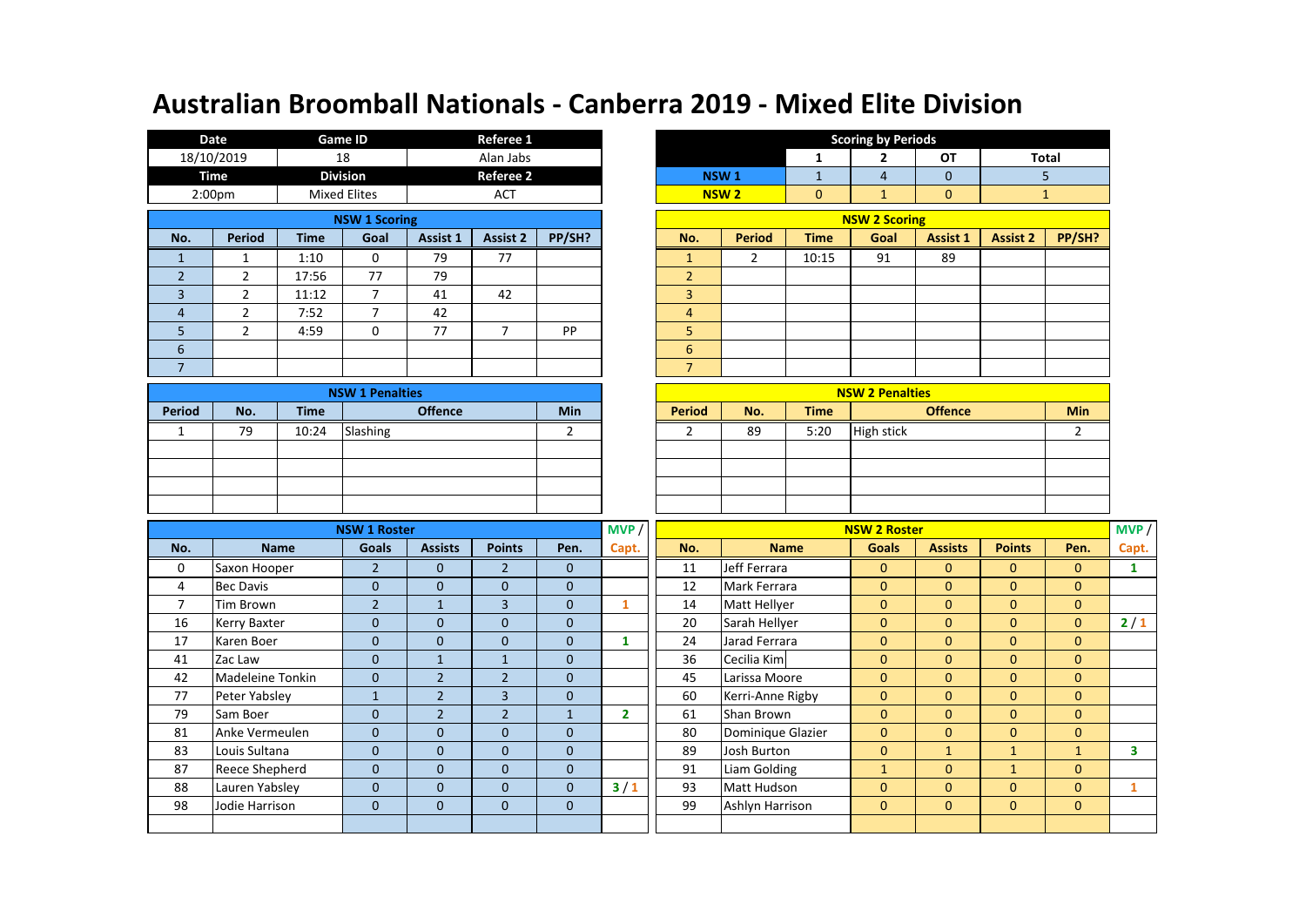|                          | Date               |             | <b>Game ID</b>       |          | Referee 1        |           |                      |                |                        |              | <b>Scoring by Periods</b>                          |                 |                 |
|--------------------------|--------------------|-------------|----------------------|----------|------------------|-----------|----------------------|----------------|------------------------|--------------|----------------------------------------------------|-----------------|-----------------|
|                          | 18/10/2019         |             | 18                   |          | Alan Jabs        |           |                      |                |                        | 1            | 2                                                  | OT              | Tot             |
|                          | <b>Time</b>        |             | <b>Division</b>      |          | <b>Referee 2</b> |           |                      |                | NSW <sub>1</sub>       | $\mathbf{1}$ | 4                                                  | $\mathbf 0$     |                 |
|                          | 2:00 <sub>pm</sub> |             | <b>Mixed Elites</b>  |          | <b>ACT</b>       |           |                      |                | <b>NSW<sub>2</sub></b> | $\mathbf{0}$ | $\mathbf{1}$                                       | $\mathbf{0}$    |                 |
|                          |                    |             | <b>NSW 1 Scoring</b> |          |                  |           | <b>NSW 2 Scoring</b> |                |                        |              |                                                    |                 |                 |
| No.                      | <b>Period</b>      | <b>Time</b> | Goal                 | Assist 1 | <b>Assist 2</b>  | PP/SH?    |                      | No.            | Period                 | <b>Time</b>  | Goal                                               | <b>Assist 1</b> | <b>Assist 2</b> |
|                          |                    | 1:10        | 0                    | 79       | 77               |           |                      |                | 2                      | 10:15        | 91                                                 | 89              |                 |
| $\overline{2}$           | $\overline{2}$     | 17:56       | 77                   | 79       |                  |           |                      | $\overline{2}$ |                        |              |                                                    |                 |                 |
| 3                        | 2                  | 11:12       | 7                    | 41       | 42               |           |                      | 3              |                        |              |                                                    |                 |                 |
| 4                        | $\overline{2}$     | 7:52        | $\overline{ }$       | 42       |                  |           |                      | $\overline{4}$ |                        |              |                                                    |                 |                 |
| 5                        | 2                  | 4:59        | 0                    | 77       | ⇁                | <b>PP</b> |                      | 5              |                        |              |                                                    |                 |                 |
| 6                        |                    |             |                      |          |                  |           |                      | 6              |                        |              |                                                    |                 |                 |
| $\overline{\phantom{a}}$ |                    |             |                      |          |                  |           |                      | $\overline{7}$ |                        |              |                                                    |                 |                 |
|                          |                    |             | <b>COLOR</b>         |          |                  |           |                      |                |                        |              | <b>Contract Contract Contract</b><br>$\frac{1}{2}$ |                 |                 |

|               |     |             | <b>NSW 1 Penalties</b> |            |               |     |             | <b>NSW 2 Penalties</b> |     |
|---------------|-----|-------------|------------------------|------------|---------------|-----|-------------|------------------------|-----|
| <b>Period</b> | No. | <b>Time</b> | <b>Offence</b>         | <b>Min</b> | <b>Period</b> | No. | <b>Time</b> | <b>Offence</b>         | Min |
|               | 79  | 10:24       | Slashing               |            |               | 89  | 5:20        | High stick             |     |
|               |     |             |                        |            |               |     |             |                        |     |
|               |     |             |                        |            |               |     |             |                        |     |
|               |     |             |                        |            |               |     |             |                        |     |
|               |     |             |                        |            |               |     |             |                        |     |

|                | Date                   | <b>Game ID</b> |                     |          | Referee 1        |        |  |                |                  |             | <b>Scoring by Periods</b> |              |                 |        |
|----------------|------------------------|----------------|---------------------|----------|------------------|--------|--|----------------|------------------|-------------|---------------------------|--------------|-----------------|--------|
|                | 18/10/2019             | 18             |                     |          | Alan Jabs        |        |  |                |                  | 1           | $\mathbf{2}$              | <b>OT</b>    |                 | Total  |
|                | Time                   |                | <b>Division</b>     |          | <b>Referee 2</b> |        |  |                | NSW <sub>1</sub> |             | 4                         | $\mathbf{0}$ |                 | 5.     |
|                | 2:00 <sub>pm</sub>     |                | <b>Mixed Elites</b> |          | <b>ACT</b>       |        |  |                | NSW <sub>2</sub> | $\mathbf 0$ | $\mathbf{1}$              | $\mathbf 0$  |                 |        |
|                | <b>NSW 1 Scoring</b>   |                |                     |          |                  |        |  |                |                  |             | <b>NSW 2 Scoring</b>      |              |                 |        |
| No.            | Period                 | <b>Time</b>    | Goal                | Assist 1 | <b>Assist 2</b>  | PP/SH? |  | No.            | <b>Period</b>    | <b>Time</b> | Goal                      | Assist 1     | <b>Assist 2</b> | PP/SH? |
| $\mathbf{1}$   |                        | 1:10           | 0                   | 79       | 77               |        |  |                | 2                | 10:15       | 91                        | 89           |                 |        |
| $\overline{2}$ | 2                      | 17:56          | 77                  | 79       |                  |        |  | $\overline{2}$ |                  |             |                           |              |                 |        |
| 3              | $\mathcal{P}$          | 11:12          | 7                   | 41       | 42               |        |  | $\overline{3}$ |                  |             |                           |              |                 |        |
| $\overline{4}$ | 2                      | 7:52           | 7                   | 42       |                  |        |  | 4              |                  |             |                           |              |                 |        |
| 5              | $\overline{2}$         | 4:59           | 0                   | 77       | 7                | PP     |  | 5              |                  |             |                           |              |                 |        |
| 6              |                        |                |                     |          |                  |        |  | 6              |                  |             |                           |              |                 |        |
| $\overline{7}$ |                        |                |                     |          |                  |        |  | 7              |                  |             |                           |              |                 |        |
|                | <b>NSW 1 Penalties</b> |                |                     |          |                  |        |  |                |                  |             | <b>NSW 2 Penalties</b>    |              |                 |        |

|                |     | <b>NSW 2 Penalties</b> |     |             |                |     |  |  |  |  |  |
|----------------|-----|------------------------|-----|-------------|----------------|-----|--|--|--|--|--|
| <b>Offence</b> | Min | Period                 | No. | <b>Time</b> | <b>Offence</b> | Min |  |  |  |  |  |
|                |     |                        | 89  | 5:20        | High stick     |     |  |  |  |  |  |
|                |     |                        |     |             |                |     |  |  |  |  |  |
|                |     |                        |     |             |                |     |  |  |  |  |  |
|                |     |                        |     |             |                |     |  |  |  |  |  |
|                |     |                        |     |             |                |     |  |  |  |  |  |

|     |                                                                               | <b>NSW 1 Roster</b> |                |                |              | MVP /        | <b>NSW 2 Roster</b> |                   |              |                |                |                |       |
|-----|-------------------------------------------------------------------------------|---------------------|----------------|----------------|--------------|--------------|---------------------|-------------------|--------------|----------------|----------------|----------------|-------|
| No. | <b>Name</b>                                                                   | <b>Goals</b>        | <b>Assists</b> | <b>Points</b>  | Pen.         | Capt.        | No.                 | <b>Name</b>       | <b>Goals</b> | <b>Assists</b> | <b>Points</b>  | Pen.           | Capt. |
| 0   | Saxon Hooper                                                                  | $\overline{2}$      | $\Omega$       | $\overline{2}$ | $\Omega$     |              | 11                  | Jeff Ferrara      | $\Omega$     | $\mathbf{0}$   | $\mathbf{0}$   | $\Omega$       |       |
| 4   | <b>Bec Davis</b>                                                              | $\mathbf{0}$        | $\mathbf{0}$   | $\mathbf 0$    | $\mathbf{0}$ |              | 12                  | Mark Ferrara      | $\mathbf{0}$ | $\mathbf{0}$   | $\mathbf{0}$   | $\mathbf{0}$   |       |
| 7   | Tim Brown                                                                     | $\overline{2}$      |                | 3              | $\mathbf{0}$ |              | 14                  | Matt Hellyer      | $\mathbf{0}$ | $\mathbf{0}$   | $\mathbf{0}$   | $\mathbf{0}$   |       |
| 16  | Kerry Baxter                                                                  | $\mathbf{0}$        | $\Omega$       | $\mathbf{0}$   | $\mathbf{0}$ |              | 20                  | Sarah Hellyer     | $\mathbf{0}$ | $\mathbf{0}$   | $\mathbf{0}$   | $\mathbf{0}$   | $2/1$ |
| 17  | Karen Boer                                                                    | $\mathbf{0}$        | $\Omega$       | $\mathbf{0}$   | $\mathbf{0}$ |              | 24                  | Jarad Ferrara     | $\mathbf{0}$ | $\mathbf{0}$   | $\mathbf{0}$   | $\mathbf{0}$   |       |
| 41  | Zac Law                                                                       | $\mathbf{0}$        | $\mathbf{1}$   |                | $\mathbf{0}$ |              | 36                  | Cecilia Kim       | $\mathbf{0}$ | $\mathbf{0}$   | $\mathbf{0}$   | $\mathbf{0}$   |       |
| 42  | Madeleine Tonkin                                                              | $\mathbf{0}$        | $\overline{2}$ | $\overline{2}$ | $\mathbf{0}$ |              | 45                  | Larissa Moore     | $\mathbf{0}$ | $\mathbf{0}$   | $\overline{0}$ | $\mathbf{0}$   |       |
| 77  | Peter Yabsley                                                                 |                     | $\overline{2}$ | $\overline{3}$ | $\mathbf{0}$ |              | 60                  | Kerri-Anne Rigby  | $\mathbf{0}$ | $\mathbf{0}$   | $\mathbf{0}$   | $\mathbf{0}$   |       |
| 79  | Sam Boer                                                                      | $\mathbf{0}$        | $\overline{2}$ | $\overline{2}$ |              | $\mathbf{2}$ | 61                  | Shan Brown        | $\mathbf{0}$ | $\mathbf{0}$   | $\mathbf{0}$   | $\overline{0}$ |       |
| 81  | Anke Vermeulen                                                                | $\mathbf{0}$        | $\Omega$       | $\mathbf{0}$   | $\mathbf{0}$ |              | 80                  | Dominique Glazier | $\mathbf{0}$ | $\mathbf{0}$   | $\mathbf{0}$   | $\overline{0}$ |       |
| 83  | Louis Sultana                                                                 | $\Omega$            | $\Omega$       | $\mathbf{0}$   | $\Omega$     |              | 89                  | Josh Burton       | $\mathbf{0}$ | 1              | $\mathbf{1}$   | $\mathbf{1}$   | 3     |
| 87  | <b>Reece Shepherd</b>                                                         | $\mathbf{0}$        | $\mathbf 0$    | $\mathbf{0}$   | $\mathbf{0}$ |              | 91                  | Liam Golding      | $\mathbf{1}$ | $\mathbf{0}$   | $\mathbf{1}$   | $\mathbf{0}$   |       |
| 88  | Lauren Yabsley                                                                | $\mathbf{0}$        | $\mathbf 0$    | $\mathbf{0}$   | $\mathbf{0}$ | 3/1          | 93                  | Matt Hudson       | $\mathbf{0}$ | $\mathbf{0}$   | $\overline{0}$ | $\mathbf{0}$   |       |
| 98  | Jodie Harrison<br>$\mathbf{0}$<br>$\mathbf{0}$<br>$\mathbf 0$<br>$\mathbf{0}$ |                     |                |                |              |              | 99                  | Ashlyn Harrison   | $\mathbf{0}$ | $\mathbf{0}$   | $\mathbf{0}$   | $\mathbf{0}$   |       |
|     |                                                                               |                     |                |                |              |              |                     |                   |              |                |                |                |       |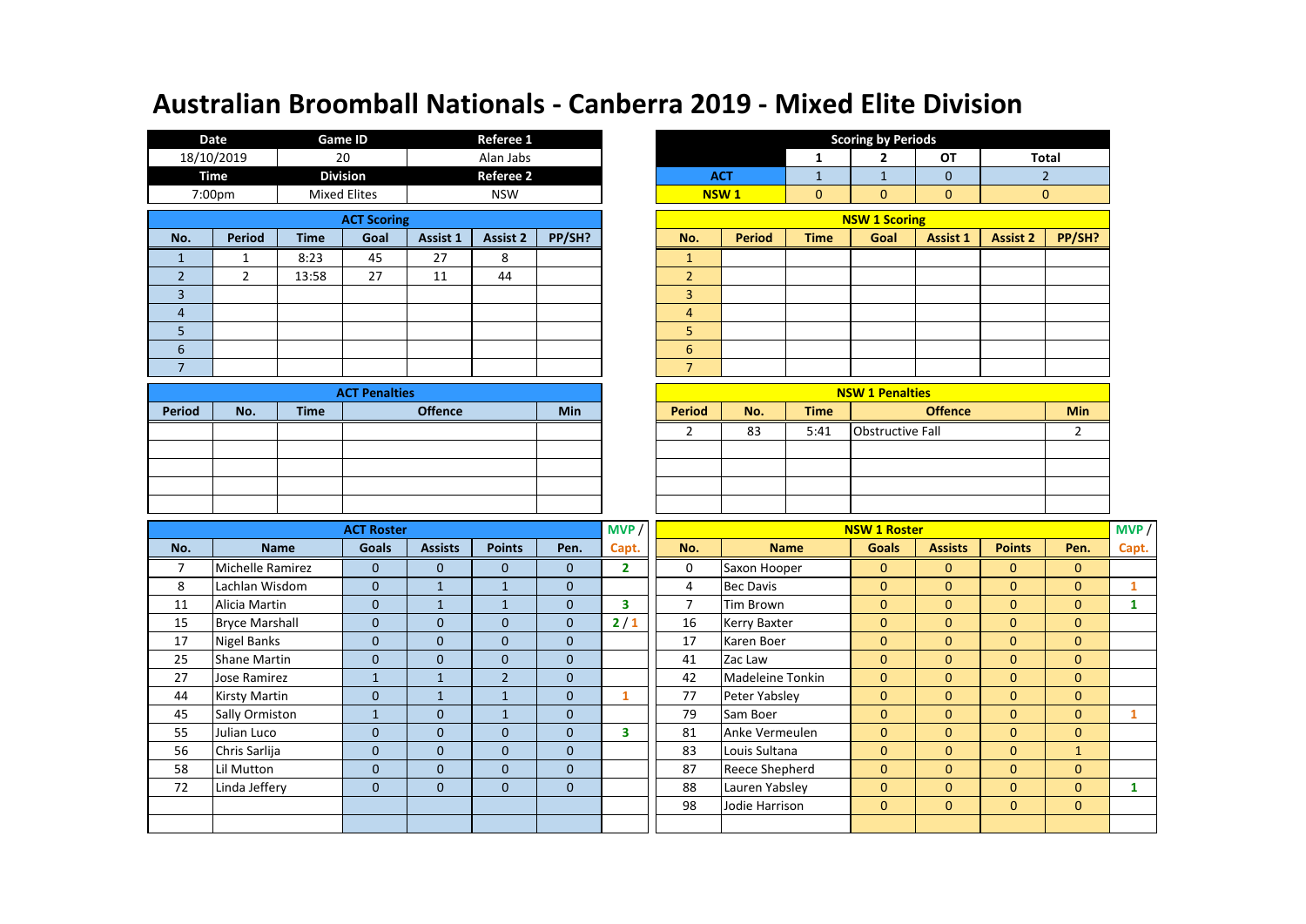|     | Date          |             | <b>Game ID</b>      |          | Referee 1        |        |                |                  |             | <b>Scoring by Periods</b><br>OT<br>2<br>1<br>$\mathbf{0}$<br>$\mathbf{1}$<br>$\mathbf{0}$<br>$\mathbf{0}$<br>$\mathbf{0}$<br><b>NSW 1 Scoring</b><br><b>Assist 1</b><br>Goal |  |                 |  |  |  |
|-----|---------------|-------------|---------------------|----------|------------------|--------|----------------|------------------|-------------|------------------------------------------------------------------------------------------------------------------------------------------------------------------------------|--|-----------------|--|--|--|
|     | 18/10/2019    |             | 20                  |          | Alan Jabs        |        |                |                  | Tot         |                                                                                                                                                                              |  |                 |  |  |  |
|     | Time          |             | <b>Division</b>     |          | <b>Referee 2</b> |        |                | <b>ACT</b>       |             |                                                                                                                                                                              |  |                 |  |  |  |
|     | 7:00pm        |             | <b>Mixed Elites</b> |          | <b>NSW</b>       |        |                | NSW <sub>1</sub> |             |                                                                                                                                                                              |  | $\mathbf 0$     |  |  |  |
|     |               |             | <b>ACT Scoring</b>  |          |                  |        |                |                  |             |                                                                                                                                                                              |  |                 |  |  |  |
| No. | <b>Period</b> | <b>Time</b> | Goal                | Assist 1 | <b>Assist 2</b>  | PP/SH? | No.            | <b>Period</b>    | <b>Time</b> |                                                                                                                                                                              |  | <b>Assist 2</b> |  |  |  |
|     |               | 8:23        | 45                  | 27       | 8                |        | 1              |                  |             |                                                                                                                                                                              |  |                 |  |  |  |
| 2   | 2             | 13:58       | 27                  | 11       | 44               |        | $\overline{2}$ |                  |             |                                                                                                                                                                              |  |                 |  |  |  |
| 3   |               |             |                     |          |                  |        | 3              |                  |             |                                                                                                                                                                              |  |                 |  |  |  |
| 4   |               |             |                     |          |                  |        | $\overline{4}$ |                  |             |                                                                                                                                                                              |  |                 |  |  |  |
| 5   |               |             |                     |          |                  |        | 5              |                  |             |                                                                                                                                                                              |  |                 |  |  |  |
| 6   |               |             |                     |          |                  |        | 6              |                  |             |                                                                                                                                                                              |  |                 |  |  |  |
| ⇁   |               |             |                     |          |                  |        | $\overline{7}$ |                  |             |                                                                                                                                                                              |  |                 |  |  |  |

|        |     |             | <b>ACT Penalties</b> |            |               |     |             | <b>NSW 1 Penalties</b>  |     |
|--------|-----|-------------|----------------------|------------|---------------|-----|-------------|-------------------------|-----|
| Period | No. | <b>Time</b> | <b>Offence</b>       | <b>Min</b> | <b>Period</b> | No. | <b>Time</b> | <b>Offence</b>          | Min |
|        |     |             |                      |            |               | 83  | 5:41        | <b>Obstructive Fall</b> |     |
|        |     |             |                      |            |               |     |             |                         |     |
|        |     |             |                      |            |               |     |             |                         |     |
|        |     |             |                      |            |               |     |             |                         |     |
|        |     |             |                      |            |               |     |             |                         |     |

|                | Referee 1<br><b>Game ID</b><br>Date |             |                                   |                  |                 |        |  |                      |                                | <b>Scoring by Periods</b> |      |                 |                 |        |   |           |  |            |  |  |              |  |  |  |  |  |  |  |  |  |                  |  |              |              |             |             |  |
|----------------|-------------------------------------|-------------|-----------------------------------|------------------|-----------------|--------|--|----------------------|--------------------------------|---------------------------|------|-----------------|-----------------|--------|---|-----------|--|------------|--|--|--------------|--|--|--|--|--|--|--|--|--|------------------|--|--------------|--------------|-------------|-------------|--|
|                | 18/10/2019                          | 20          |                                   | Alan Jabs        |                 |        |  |                      |                                |                           |      |                 |                 |        | 2 | <b>OT</b> |  | Total      |  |  |              |  |  |  |  |  |  |  |  |  |                  |  |              |              |             |             |  |
|                | Time                                |             | <b>Division</b>                   | <b>Referee 2</b> |                 |        |  |                      |                                |                           |      |                 |                 |        |   |           |  | <b>ACT</b> |  |  | $\mathbf{0}$ |  |  |  |  |  |  |  |  |  |                  |  |              |              |             |             |  |
|                | 7:00pm                              |             | <b>Mixed Elites</b>               | <b>NSW</b>       |                 |        |  |                      |                                |                           |      |                 |                 |        |   |           |  |            |  |  |              |  |  |  |  |  |  |  |  |  | NSW <sub>1</sub> |  | $\mathbf{0}$ | $\mathbf{0}$ | $\mathbf 0$ | $\mathbf 0$ |  |
|                |                                     |             | <b>ACT Scoring</b>                |                  |                 |        |  | <b>NSW 1 Scoring</b> |                                |                           |      |                 |                 |        |   |           |  |            |  |  |              |  |  |  |  |  |  |  |  |  |                  |  |              |              |             |             |  |
| No.            | Period                              | <b>Time</b> | Goal                              | Assist 1         | <b>Assist 2</b> | PP/SH? |  | No.                  | <b>Period</b>                  | <b>Time</b>               | Goal | <b>Assist 1</b> | <b>Assist 2</b> | PP/SH? |   |           |  |            |  |  |              |  |  |  |  |  |  |  |  |  |                  |  |              |              |             |             |  |
| $\mathbf{1}$   |                                     | 8:23        | 45                                | 27               | 8               |        |  |                      |                                |                           |      |                 |                 |        |   |           |  |            |  |  |              |  |  |  |  |  |  |  |  |  |                  |  |              |              |             |             |  |
| $\overline{2}$ | 2                                   | 13:58       | 27                                | 11               | 44              |        |  | $\overline{2}$       |                                |                           |      |                 |                 |        |   |           |  |            |  |  |              |  |  |  |  |  |  |  |  |  |                  |  |              |              |             |             |  |
| 3              |                                     |             |                                   |                  |                 |        |  | 3                    |                                |                           |      |                 |                 |        |   |           |  |            |  |  |              |  |  |  |  |  |  |  |  |  |                  |  |              |              |             |             |  |
| $\overline{4}$ |                                     |             |                                   |                  |                 |        |  | 4                    |                                |                           |      |                 |                 |        |   |           |  |            |  |  |              |  |  |  |  |  |  |  |  |  |                  |  |              |              |             |             |  |
| 5              |                                     |             |                                   |                  |                 |        |  | 5                    |                                |                           |      |                 |                 |        |   |           |  |            |  |  |              |  |  |  |  |  |  |  |  |  |                  |  |              |              |             |             |  |
| 6              |                                     |             |                                   |                  |                 |        |  | 6                    |                                |                           |      |                 |                 |        |   |           |  |            |  |  |              |  |  |  |  |  |  |  |  |  |                  |  |              |              |             |             |  |
| $\overline{7}$ |                                     |             |                                   |                  |                 |        |  | $\overline{ }$       |                                |                           |      |                 |                 |        |   |           |  |            |  |  |              |  |  |  |  |  |  |  |  |  |                  |  |              |              |             |             |  |
|                |                                     |             | <b>A commence of the comments</b> |                  |                 |        |  |                      | <b>ALCOHOL ALIMAN AND LINE</b> |                           |      |                 |                 |        |   |           |  |            |  |  |              |  |  |  |  |  |  |  |  |  |                  |  |              |              |             |             |  |

| <b>ACT Penalties</b> |            |               |     |             | <b>NSW 1 Penalties</b>  |            |
|----------------------|------------|---------------|-----|-------------|-------------------------|------------|
| <b>Offence</b>       | <b>Min</b> | <b>Period</b> | No. | <b>Time</b> | <b>Offence</b>          | <b>Min</b> |
|                      |            |               | 83  | 5:41        | <b>Obstructive Fall</b> |            |
|                      |            |               |     |             |                         |            |
|                      |            |               |     |             |                         |            |
|                      |            |               |     |             |                         |            |
|                      |            |               |     |             |                         |            |

|     |                       | <b>ACT Roster</b> |                |                |              | MVP / | <b>NSW 1 Roster</b> |                  |              |                |               |                |              |
|-----|-----------------------|-------------------|----------------|----------------|--------------|-------|---------------------|------------------|--------------|----------------|---------------|----------------|--------------|
| No. | <b>Name</b>           | Goals             | <b>Assists</b> | <b>Points</b>  | Pen.         | Capt. | No.                 | <b>Name</b>      | <b>Goals</b> | <b>Assists</b> | <b>Points</b> | Pen.           | Capt.        |
| 7   | Michelle Ramirez      | $\Omega$          | $\Omega$       | $\mathbf{0}$   | $\Omega$     | 2     | 0                   | Saxon Hooper     | $\mathbf{0}$ | $\mathbf{0}$   | $\mathbf{0}$  | $\mathbf{0}$   |              |
| 8   | Lachlan Wisdom        | $\mathbf{0}$      | 1              | $\mathbf{1}$   | $\mathbf{0}$ |       | 4                   | <b>Bec Davis</b> | $\mathbf{0}$ | $\mathbf{0}$   | $\mathbf{0}$  | $\mathbf{0}$   |              |
| 11  | Alicia Martin         | $\mathbf{0}$      | 1              |                | $\mathbf{0}$ | 3     | $\overline{7}$      | Tim Brown        | $\mathbf{0}$ | $\mathbf{0}$   | $\mathbf{0}$  | $\overline{0}$ | 1            |
| 15  | <b>Bryce Marshall</b> | $\Omega$          | $\Omega$       | $\mathbf 0$    | $\mathbf{0}$ | 2/1   | 16                  | Kerry Baxter     | $\mathbf{0}$ | $\mathbf{0}$   | $\mathbf{0}$  | $\mathbf{0}$   |              |
| 17  | Nigel Banks           | $\mathbf{0}$      | $\Omega$       | $\mathbf{0}$   | $\mathbf{0}$ |       | 17                  | Karen Boer       | $\mathbf{0}$ | $\mathbf{0}$   | $\mathbf{0}$  | $\mathbf{0}$   |              |
| 25  | <b>Shane Martin</b>   | $\mathbf{0}$      | $\Omega$       | $\mathbf{0}$   | $\mathbf{0}$ |       | 41                  | Zac Law          | $\mathbf{0}$ | $\mathbf{0}$   | $\mathbf{0}$  | $\mathbf{0}$   |              |
| 27  | Jose Ramirez          | $\mathbf{1}$      | $\mathbf{1}$   | $\overline{2}$ | $\mathbf{0}$ |       | 42                  | Madeleine Tonkin | $\mathbf{0}$ | $\mathbf{0}$   | $\mathbf{0}$  | $\mathbf{0}$   |              |
| 44  | Kirsty Martin         | $\mathbf{0}$      |                |                | $\mathbf{0}$ |       | 77                  | Peter Yabsley    | $\mathbf{0}$ | $\mathbf{0}$   | $\mathbf{0}$  | $\mathbf{0}$   |              |
| 45  | Sally Ormiston        | $\mathbf{1}$      | $\mathbf{0}$   |                | $\mathbf{0}$ |       | 79                  | Sam Boer         | $\mathbf{0}$ | $\mathbf{0}$   | $\mathbf{0}$  | $\overline{0}$ | $\mathbf{1}$ |
| 55  | Julian Luco           | $\mathbf{0}$      | $\mathbf{0}$   | $\mathbf 0$    | $\mathbf{0}$ | 3     | 81                  | Anke Vermeulen   | $\mathbf{0}$ | $\mathbf{0}$   | $\mathbf{0}$  | $\overline{0}$ |              |
| 56  | Chris Sarlija         | $\mathbf{0}$      | $\mathbf{0}$   | $\mathbf{0}$   | $\mathbf{0}$ |       | 83                  | Louis Sultana    | $\mathbf{0}$ | $\mathbf{0}$   | $\mathbf{0}$  | $\mathbf{1}$   |              |
| 58  | Lil Mutton            | $\mathbf{0}$      | $\mathbf{0}$   | $\mathbf{0}$   | $\mathbf{0}$ |       | 87                  | Reece Shepherd   | $\mathbf{0}$ | $\mathbf{0}$   | $\mathbf{0}$  | $\overline{0}$ |              |
| 72  | Linda Jeffery         | $\mathbf{0}$      | $\mathbf{0}$   | $\mathbf 0$    | $\mathbf{0}$ |       | 88                  | Lauren Yabsley   | $\mathbf{0}$ | $\mathbf{0}$   | $\mathbf{0}$  | $\mathbf{0}$   |              |
|     |                       |                   |                |                |              |       | 98                  | Jodie Harrison   | $\mathbf{0}$ | $\mathbf{0}$   | $\mathbf{0}$  | $\overline{0}$ |              |
|     |                       |                   |                |                |              |       |                     |                  |              |                |               |                |              |